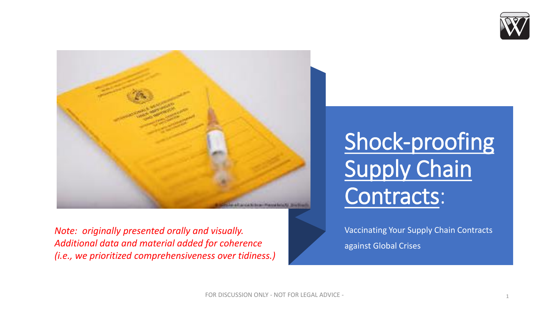



*Note: originally presented orally and visually. Additional data and material added for coherence (i.e., we prioritized comprehensiveness over tidiness.)*

## Shock-proofing Supply Chain Contracts:

Vaccinating Your Supply Chain Contracts against Global Crises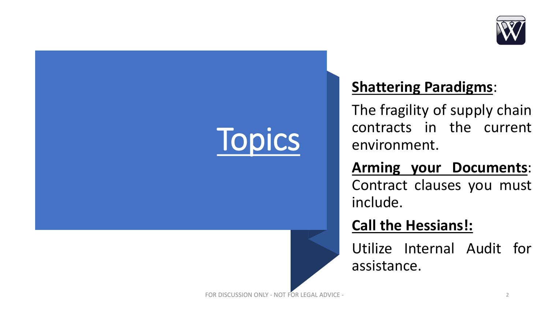

# **Topics**

### **Shattering Paradigms**:

The fragility of supply chain contracts in the current environment.

**Arming your Documents**: Contract clauses you must include.

**Call the Hessians!:**

Utilize Internal Audit for assistance.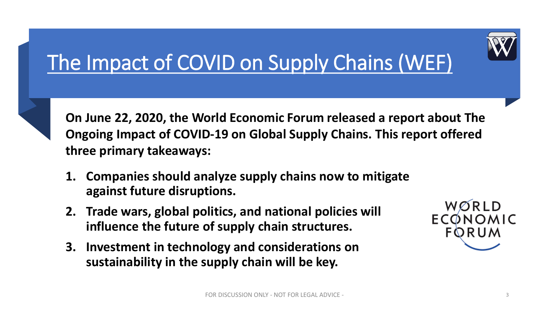

## The Impact of COVID on Supply Chains (WEF)



**On June 22, 2020, the World Economic Forum released a report about The Ongoing Impact of COVID-19 on Global Supply Chains. This report offered three primary takeaways:**

- **1. Companies should analyze supply chains now to mitigate against future disruptions.**
- **2. Trade wars, global politics, and national policies will influence the future of supply chain structures.**
- **3. Investment in technology and considerations on sustainability in the supply chain will be key.**

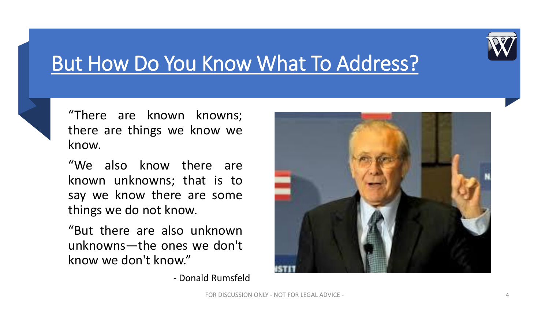

### But How Do You Know What To Address?

"There are known knowns; there are things we know we know.

"We also know there are known unknowns; that is to say we know there are some things we do not know.

"But there are also unknown unknowns—the ones we don't know we don't know."

- Donald Rumsfeld

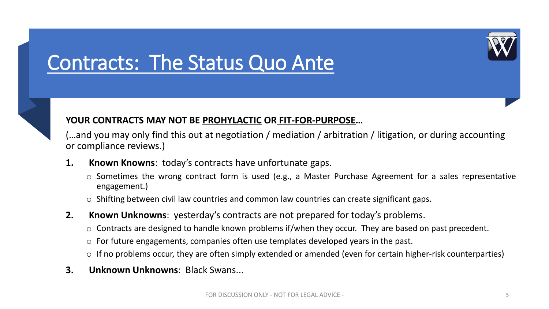### Contracts: The Status Quo Ante



### **YOUR CONTRACTS MAY NOT BE PROHYLACTIC OR FIT-FOR-PURPOSE…**

(…and you may only find this out at negotiation / mediation / arbitration / litigation, or during accounting or compliance reviews.)

- **1. Known Knowns**: today's contracts have unfortunate gaps.
	- o Sometimes the wrong contract form is used (e.g., a Master Purchase Agreement for a sales representative engagement.)
	- o Shifting between civil law countries and common law countries can create significant gaps.
- **2. Known Unknowns**: yesterday's contracts are not prepared for today's problems.
	- o Contracts are designed to handle known problems if/when they occur. They are based on past precedent.
	- $\circ$  For future engagements, companies often use templates developed years in the past.
	- $\circ$  If no problems occur, they are often simply extended or amended (even for certain higher-risk counterparties)
- **3. Unknown Unknowns**: Black Swans...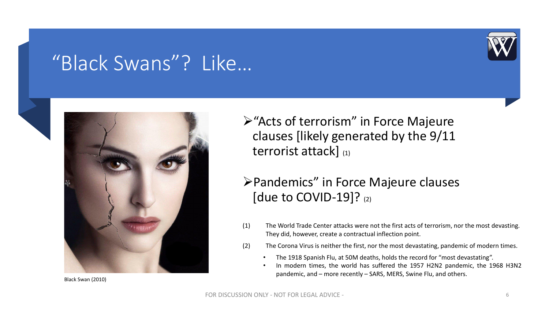### "Black Swans"? Like…







➢"Acts of terrorism" in Force Majeure clauses [likely generated by the 9/11 terrorist attack] (1)

### ➢Pandemics" in Force Majeure clauses [due to COVID-19]?  $(2)$

- (1) The World Trade Center attacks were not the first acts of terrorism, nor the most devasting. They did, however, create a contractual inflection point.
- (2) The Corona Virus is neither the first, nor the most devastating, pandemic of modern times.
	- The 1918 Spanish Flu, at 50M deaths, holds the record for "most devastating".
	- In modern times, the world has suffered the 1957 H2N2 pandemic, the 1968 H3N2 pandemic, and – more recently – SARS, MERS, Swine Flu, and others.

Black Swan (2010)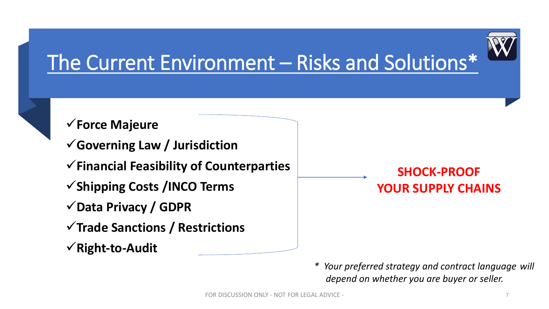

## The Current Environment – Risks and Solutions\*

### ✓**Force Majeure**

- ✓**Governing Law / Jurisdiction**
- ✓**Financial Feasibility of Counterparties**
- ✓**Shipping Costs /INCO Terms**
- ✓**Data Privacy / GDPR**
- ✓**Trade Sanctions / Restrictions**
- ✓**Right-to-Audit**

### **SHOCK-PROOF YOUR SUPPLY CHAINS**

*\* Your preferred strategy and contract language will depend on whether you are buyer or seller.*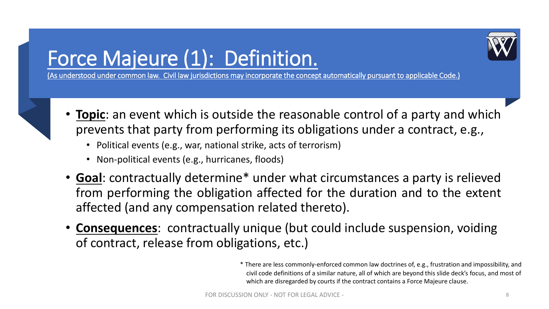

### Force Majeure (1): Definition.

(As understood under common law. Civil law jurisdictions may incorporate the concept automatically pursuant to applicable Code.)

- **Topic**: an event which is outside the reasonable control of a party and which prevents that party from performing its obligations under a contract, e.g.,
	- Political events (e.g., war, national strike, acts of terrorism)
	- Non-political events (e.g., hurricanes, floods)
- **Goal**: contractually determine\* under what circumstances a party is relieved from performing the obligation affected for the duration and to the extent affected (and any compensation related thereto).
- **Consequences**: contractually unique (but could include suspension, voiding of contract, release from obligations, etc.)

\* There are less commonly-enforced common law doctrines of, e.g., frustration and impossibility, and civil code definitions of a similar nature, all of which are beyond this slide deck's focus, and most of which are disregarded by courts if the contract contains a Force Majeure clause.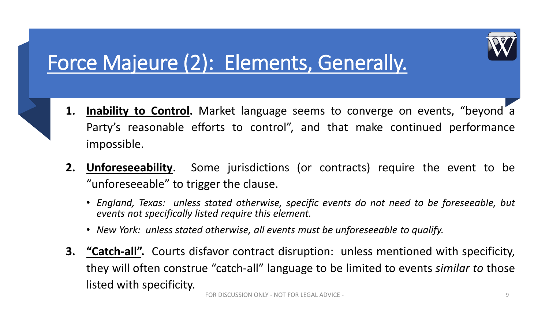

### Force Majeure (2): Elements, Generally.



- **1. Inability to Control.** Market language seems to converge on events, "beyond a Party's reasonable efforts to control", and that make continued performance impossible.
- **2. Unforeseeability**. Some jurisdictions (or contracts) require the event to be "unforeseeable" to trigger the clause.
	- *England, Texas: unless stated otherwise, specific events do not need to be foreseeable, but events not specifically listed require this element.*
	- *New York: unless stated otherwise, all events must be unforeseeable to qualify.*
- **3. "Catch-all".** Courts disfavor contract disruption: unless mentioned with specificity, they will often construe "catch-all" language to be limited to events *similar to* those listed with specificity.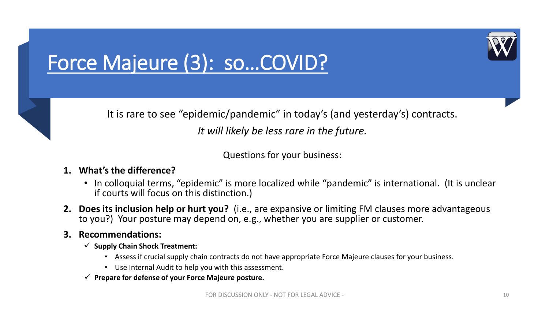

## Force Majeure (3): so…COVID?



Questions for your business:

### **1. What's the difference?**

- In colloquial terms, "epidemic" is more localized while "pandemic" is international. (It is unclear if courts will focus on this distinction.)
- **2. Does its inclusion help or hurt you?** (i.e., are expansive or limiting FM clauses more advantageous to you?) Your posture may depend on, e.g., whether you are supplier or customer.

### **3. Recommendations:**

- ✓ **Supply Chain Shock Treatment:**
	- Assess if crucial supply chain contracts do not have appropriate Force Majeure clauses for your business.
	- Use Internal Audit to help you with this assessment.
- ✓ **Prepare for defense of your Force Majeure posture.**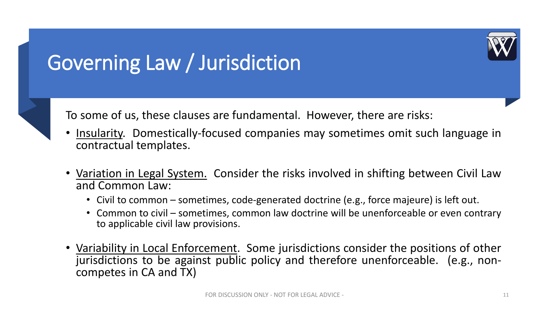## Governing Law / Jurisdiction

To some of us, these clauses are fundamental. However, there are risks:

- Insularity. Domestically-focused companies may sometimes omit such language in contractual templates.
- Variation in Legal System. Consider the risks involved in shifting between Civil Law and Common Law:
	- Civil to common sometimes, code-generated doctrine (e.g., force majeure) is left out.
	- Common to civil sometimes, common law doctrine will be unenforceable or even contrary to applicable civil law provisions.
- Variability in Local Enforcement. Some jurisdictions consider the positions of other jurisdictions to be against public policy and therefore unenforceable. (e.g., noncompetes in CA and TX)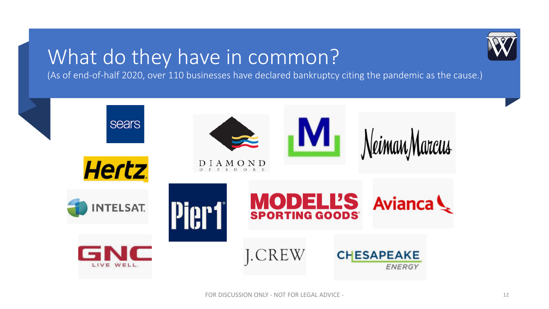### What do they have in common?

(As of end-of-half 2020, over 110 businesses have declared bankruptcy citing the pandemic as the cause.)

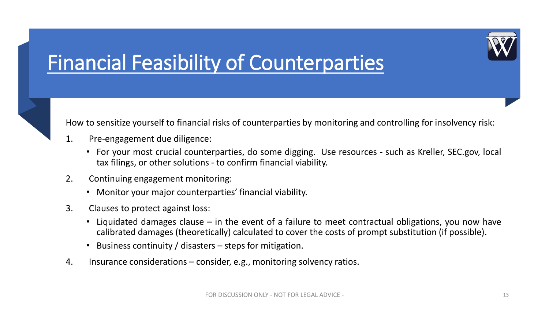## Financial Feasibility of Counterparties



- 1. Pre-engagement due diligence:
	- For your most crucial counterparties, do some digging. Use resources such as Kreller, SEC.gov, local tax filings, or other solutions - to confirm financial viability.
- 2. Continuing engagement monitoring:
	- Monitor your major counterparties' financial viability.
- 3. Clauses to protect against loss:
	- Liquidated damages clause in the event of a failure to meet contractual obligations, you now have calibrated damages (theoretically) calculated to cover the costs of prompt substitution (if possible).
	- Business continuity / disasters  $-$  steps for mitigation.
- 4. Insurance considerations consider, e.g., monitoring solvency ratios.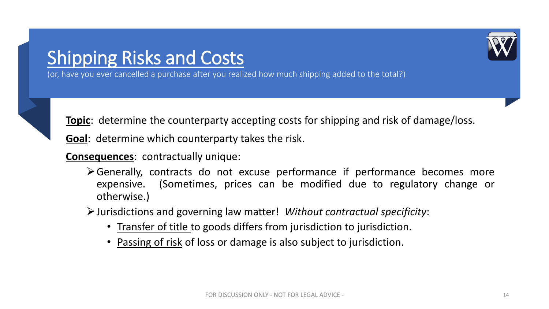### Shipping Risks and Costs



(or, have you ever cancelled a purchase after you realized how much shipping added to the total?)



**Topic**: determine the counterparty accepting costs for shipping and risk of damage/loss.

**Goal**: determine which counterparty takes the risk.

**Consequences**: contractually unique:

➢Generally, contracts do not excuse performance if performance becomes more expensive. (Sometimes, prices can be modified due to regulatory change or otherwise.)

➢Jurisdictions and governing law matter! *Without contractual specificity*:

- Transfer of title to goods differs from jurisdiction to jurisdiction.
- Passing of risk of loss or damage is also subject to jurisdiction.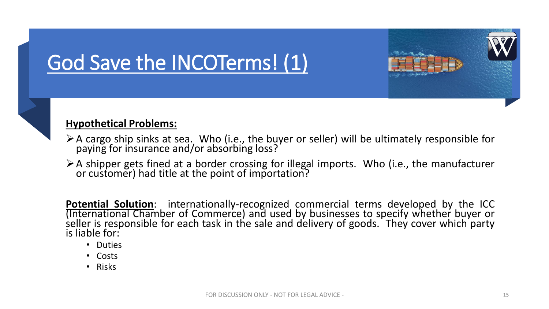## God Save the INCOTerms! (1)



### **Hypothetical Problems:**

- $\triangleright$  A cargo ship sinks at sea. Who (i.e., the buyer or seller) will be ultimately responsible for paying for insurance and/or absorbing loss?
- ➢A shipper gets fined at a border crossing for illegal imports. Who (i.e., the manufacturer or customer) had title at the point of importation?

**Potential Solution**: internationally-recognized commercial terms developed by the ICC (International Chamber of Commerce) and used by businesses to specify whether buyer or seller is responsible for each task in the sale and delivery of goods. They cover which party is liable for:

- Duties
- Costs
- Risks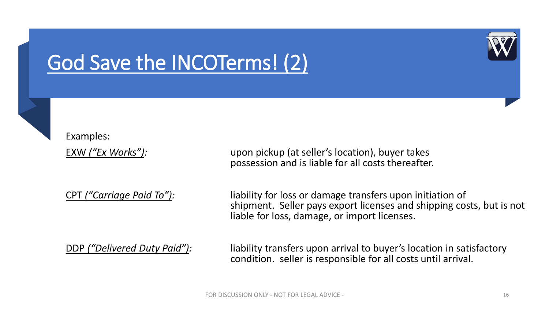

### God Save the INCOTerms! (2)

Examples:

EXW *("Ex Works"):* upon pickup (at seller's location), buyer takes possession and is liable for all costs thereafter.

CPT *("Carriage Paid To"):* liability for loss or damage transfers upon initiation of shipment. Seller pays export licenses and shipping costs, but is not liable for loss, damage, or import licenses.

DDP *("Delivered Duty Paid"):* liability transfers upon arrival to buyer's location in satisfactory condition. seller is responsible for all costs until arrival.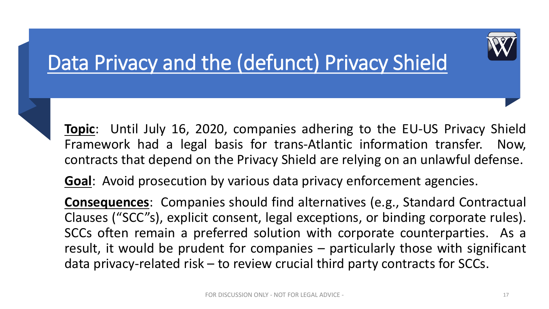## Data Privacy and the (defunct) Privacy Shield

**Topic**: Until July 16, 2020, companies adhering to the EU-US Privacy Shield Framework had a legal basis for trans-Atlantic information transfer. Now, contracts that depend on the Privacy Shield are relying on an unlawful defense.

**Goal**: Avoid prosecution by various data privacy enforcement agencies.

**Consequences**: Companies should find alternatives (e.g., Standard Contractual Clauses ("SCC"s), explicit consent, legal exceptions, or binding corporate rules). SCCs often remain a preferred solution with corporate counterparties. As a result, it would be prudent for companies – particularly those with significant data privacy-related risk – to review crucial third party contracts for SCCs.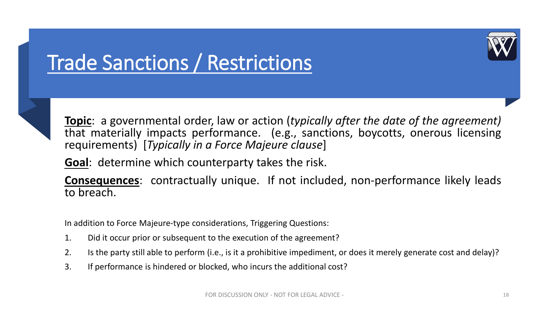## Trade Sanctions / Restrictions



**Topic**: a governmental order, law or action (*typically after the date of the agreement)* that materially impacts performance. (e.g., sanctions, boycotts, onerous licensing requirements) [*Typically in a Force Majeure clause*]

**Goal**: determine which counterparty takes the risk.

**Consequences**: contractually unique. If not included, non-performance likely leads to breach.

In addition to Force Majeure-type considerations, Triggering Questions:

- 1. Did it occur prior or subsequent to the execution of the agreement?
- 2. Is the party still able to perform (i.e., is it a prohibitive impediment, or does it merely generate cost and delay)?
- 3. If performance is hindered or blocked, who incurs the additional cost?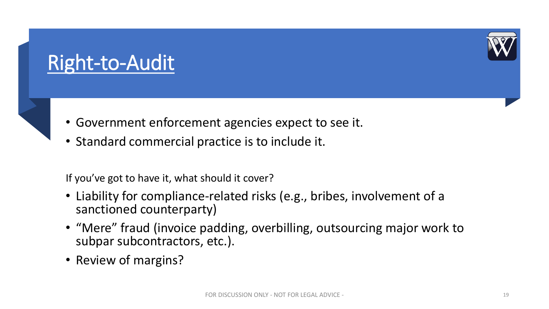

### Right-to-Audit

- Government enforcement agencies expect to see it.
- Standard commercial practice is to include it.

If you've got to have it, what should it cover?

- Liability for compliance-related risks (e.g., bribes, involvement of a sanctioned counterparty)
- "Mere" fraud (invoice padding, overbilling, outsourcing major work to subpar subcontractors, etc.).
- Review of margins?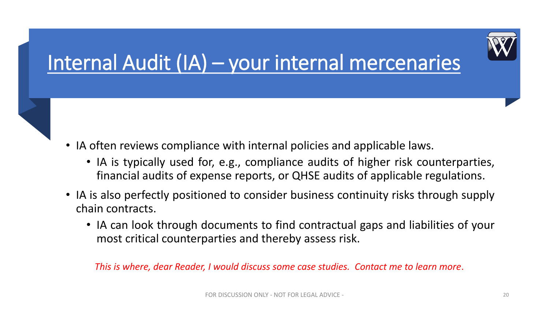## Internal Audit (IA) – your internal mercenaries

- IA often reviews compliance with internal policies and applicable laws.
	- IA is typically used for, e.g., compliance audits of higher risk counterparties, financial audits of expense reports, or QHSE audits of applicable regulations.
- IA is also perfectly positioned to consider business continuity risks through supply chain contracts.
	- IA can look through documents to find contractual gaps and liabilities of your most critical counterparties and thereby assess risk.

*This is where, dear Reader, I would discuss some case studies. Contact me to learn more*.